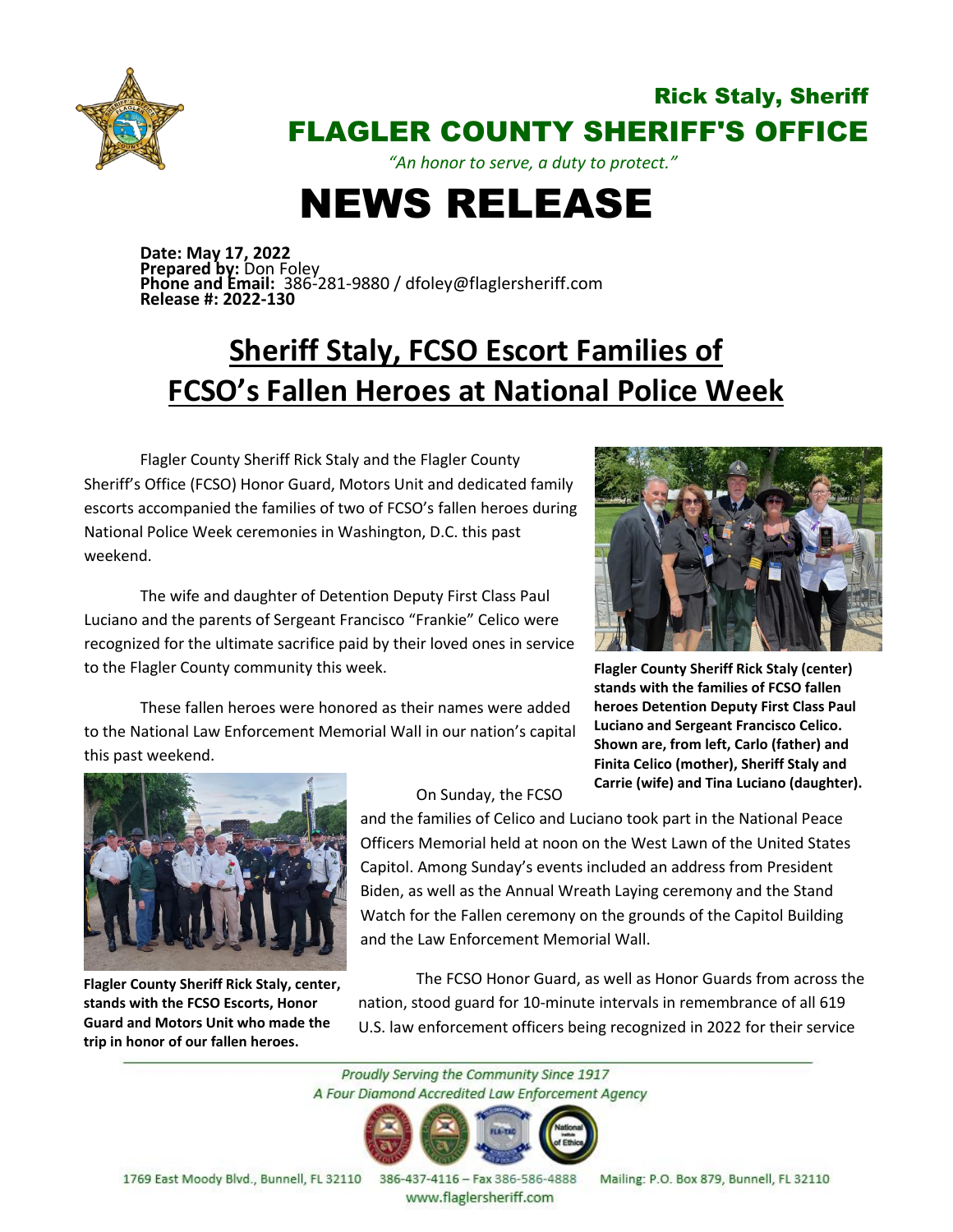

## Rick Staly, Sheriff FLAGLER COUNTY SHERIFF'S OFFICE

*"An honor to serve, a duty to protect."*

## NEWS RELEASE

**Date: May 17, 2022 Prepared by:** Don Foley **Phone and Email:** 386-281-9880 / dfoley@flaglersheriff.com **Release #: 2022-130**

## **Sheriff Staly, FCSO Escort Families of FCSO's Fallen Heroes at National Police Week**

Flagler County Sheriff Rick Staly and the Flagler County Sheriff's Office (FCSO) Honor Guard, Motors Unit and dedicated family escorts accompanied the families of two of FCSO's fallen heroes during National Police Week ceremonies in Washington, D.C. this past weekend.

The wife and daughter of Detention Deputy First Class Paul Luciano and the parents of Sergeant Francisco "Frankie" Celico were recognized for the ultimate sacrifice paid by their loved ones in service to the Flagler County community this week.

to the National Law Enforcement Memorial Wall in our nation's capital

These fallen heroes were honored as their names were added

**Flagler County Sheriff Rick Staly (center) stands with the families of FCSO fallen heroes Detention Deputy First Class Paul Luciano and Sergeant Francisco Celico. Shown are, from left, Carlo (father) and Finita Celico (mother), Sheriff Staly and Carrie (wife) and Tina Luciano (daughter).**



this past weekend.

**Flagler County Sheriff Rick Staly, center, stands with the FCSO Escorts, Honor Guard and Motors Unit who made the trip in honor of our fallen heroes.**

## On Sunday, the FCSO

and the families of Celico and Luciano took part in the National Peace Officers Memorial held at noon on the West Lawn of the United States Capitol. Among Sunday's events included an address from President Biden, as well as the Annual Wreath Laying ceremony and the Stand Watch for the Fallen ceremony on the grounds of the Capitol Building and the Law Enforcement Memorial Wall.

The FCSO Honor Guard, as well as Honor Guards from across the nation, stood guard for 10-minute intervals in remembrance of all 619 U.S. law enforcement officers being recognized in 2022 for their service

Proudly Serving the Community Since 1917 A Four Diamond Accredited Law Enforcement Agency



1769 East Moody Blvd., Bunnell, FL 32110

386-437-4116 - Fax 386-586-4888 www.flaglersheriff.com

Mailing: P.O. Box 879, Bunnell, FL 32110